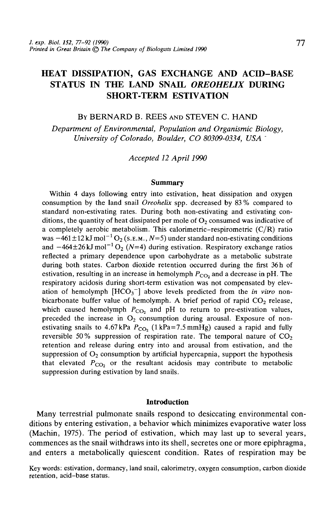# HEAT DISSIPATION, GAS EXCHANGE AND ACID-BASE STATUS IN THE LAND SNAIL *OREOHEUX* DURING SHORT-TERM ESTIVATION

#### BY BERNARD B. REES AND STEVEN C. HAND

*Department of Environmental, Population and Organismic Biology, University of Colorado, Boulder, CO 80309-0334, USA '*

*Accepted 12 April 1990*

### **Summary**

Within 4 days following entry into estivation, heat dissipation and oxygen consumption by the land snail *Oreohelix* spp. decreased by 83 % compared to standard non-estivating rates. During both non-estivating and estivating conditions, the quantity of heat dissipated per mole of  $O<sub>2</sub>$  consumed was indicative of a completely aerobic metabolism. This calorimetric-respirometric  $(C/R)$  ratio was  $-461 \pm 12$  kJ mol<sup>-1</sup> O<sub>2</sub> (s.e.m., N=5) under standard non-estivating conditions and  $-464\pm26$  kJ mol<sup>-1</sup> O<sub>2</sub> (N=4) during estivation. Respiratory exchange ratios reflected a primary dependence upon carbohydrate as a metabolic substrate during both states. Carbon dioxide retention occurred during the first 36h of estivation, resulting in an increase in hemolymph  $P_{CO}$  and a decrease in pH. The respiratory acidosis during short-term estivation was not compensated by elevation of hemolymph  $[HCO_3^-]$  above levels predicted from the *in vitro* nonbicarbonate buffer value of hemolymph. A brief period of rapid  $CO<sub>2</sub>$  release, which caused hemolymph  $P_{CO_2}$  and pH to return to pre-estivation values, preceded the increase in  $O_2$  consumption during arousal. Exposure of nonestivating snails to 4.67 kPa  $P_{CO_2}$  (1 kPa=7.5 mmHg) caused a rapid and fully reversible 50% suppression of respiration rate. The temporal nature of  $CO<sub>2</sub>$ retention and release during entry into and arousal from estivation, and the suppression of  $O_2$  consumption by artificial hypercapnia, support the hypothesis that elevated  $P_{CO_2}$  or the resultant acidosis may contribute to metabolic suppression during estivation by land snails.

# **Introduction**

Many terrestrial pulmonate snails respond to desiccating environmental conditions by entering estivation, a behavior which minimizes evaporative water loss (Machin, 1975). The period of estivation, which may last up to several years, commences as the snail withdraws into its shell, secretes one or more epiphragma, and enters a metabolically quiescent condition. Rates of respiration may be

Key words: estivation, dormancy, land snail, calorimetry, oxygen consumption, carbon dioxide retention, acid-base status.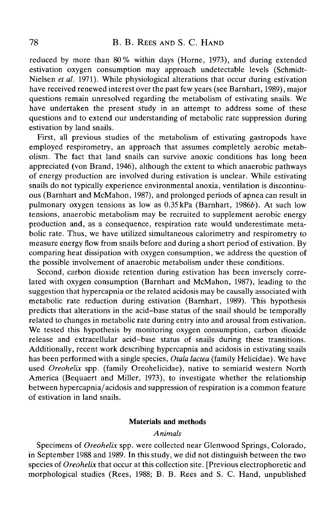reduced by more than 80% within days (Home, 1973), and during extended estivation oxygen consumption may approach undetectable levels (Schmidt-Nielsen *et al.* 1971). While physiological alterations that occur during estivation have received renewed interest over the past few years (see Barnhart, 1989), major questions remain unresolved regarding the metabolism of estivating snails. We have undertaken the present study in an attempt to address some of these questions and to extend our understanding of metabolic rate suppression during estivation by land snails.

First, all previous studies of the metabolism of estivating gastropods have employed respirometry, an approach that assumes completely aerobic metabolism. The fact that land snails can survive anoxic conditions has long been appreciated (von Brand, 1946), although the extent to which anaerobic pathways of energy production are involved during estivation is unclear. While estivating snails do not typically experience environmental anoxia, ventilation is discontinuous (Barnhart and McMahon, 1987), and prolonged periods of apnea can result in pulmonary oxygen tensions as low as 0.35kPa (Barnhart, 19866). At such low tensions, anaerobic metabolism may be recruited to supplement aerobic energy production and, as a consequence, respiration rate would underestimate metabolic rate. Thus, we have utilized simultaneous calorimetry and respirometry to measure energy flow from snails before and during a short period of estivation. By comparing heat dissipation with oxygen consumption, we address the question of the possible involvement of anaerobic metabolism under these conditions.

Second, carbon dioxide retention during estivation has been inversely correlated with oxygen consumption (Barnhart and McMahon, 1987), leading to the suggestion that hypercapnia or the related acidosis may be causally associated with metabolic rate reduction during estivation (Barnhart, 1989). This hypothesis predicts that alterations in the acid-base status of the snail should be temporally related to changes in metabolic rate during entry into and arousal from estivation. We tested this hypothesis by monitoring oxygen consumption, carbon dioxide release and extracellular acid-base status of snails during these transitions. Additionally, recent work describing hypercapnia and acidosis in estivating snails has been performed with a single species, *Otala lactea* (family Helicidae). We have used *Oreohelix* spp. (family Oreohelicidae), native to semiarid western North America (Bequaert and Miller, 1973), to investigate whether the relationship between hypercapnia/acidosis and suppression of respiration is a common feature of estivation in land snails.

#### **Materials and methods**

### *Animals*

Specimens of *Oreohelix* spp. were collected near Glenwood Springs, Colorado, in September 1988 and 1989. In this study, we did not distinguish between the two species of *Oreohelix* that occur at this collection site. [Previous electrophoretic and morphological studies (Rees, 1988; B. B. Rees and S. C. Hand, unpublished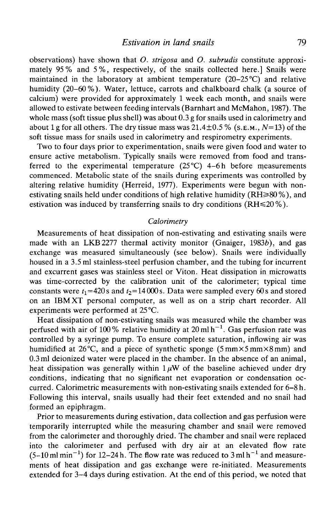observations) have shown that *O. strigosa* and *O. subrudis* constitute approximately 95% and 5%, respectively, of the snails collected here.] Snails were maintained in the laboratory at ambient temperature  $(20-25<sup>o</sup>C)$  and relative humidity (20–60%). Water, lettuce, carrots and chalkboard chalk (a source of calcium) were provided for approximately 1 week each month, and snails were allowed to estivate between feeding intervals (Barnhart and McMahon, 1987). The whole mass (soft tissue plus shell) was about 0.3 g for snails used in calorimetry and about 1 g for all others. The dry tissue mass was 21.4±0.5 % (S.E.M., *N=13)* of the soft tissue mass for snails used in calorimetry and respirometry experiments.

Two to four days prior to experimentation, snails were given food and water to ensure active metabolism. Typically snails were removed from food and transferred to the experimental temperature  $(25^{\circ}C)$  4-6h before measurements commenced. Metabolic state of the snails during experiments was controlled by altering relative humidity (Herreid, 1977). Experiments were begun with nonestivating snails held under conditions of high relative humidity  $(RH \ge 80\%)$ , and estivation was induced by transferring snails to dry conditions ( $RH \le 20\%$ ).

# *Calorimetry*

Measurements of heat dissipation of non-estivating and estivating snails were made with an LKB2277 thermal activity monitor (Gnaiger, 1983b), and gas exchange was measured simultaneously (see below). Snails were individually housed in a 3.5 ml stainless-steel perfusion chamber, and the tubing for incurrent and excurrent gases was stainless steel or Viton. Heat dissipation in microwatts was time-corrected by the calibration unit of the calorimeter; typical time constants were  $t_1 = 420$ s and  $t_2 = 14000$ s. Data were sampled every 60s and stored on an IBM XT personal computer, as well as on a strip chart recorder. All experiments were performed at 25 °C.

Heat dissipation of non-estivating snails was measured while the chamber was perfused with air of 100% relative humidity at 20 ml h<sup>-1</sup>. Gas perfusion rate was controlled by a syringe pump. To ensure complete saturation, inflowing air was humidified at 26 °C, and a piece of synthetic sponge (5 mm  $\times$  5 mm  $\times$  8 mm) and 0.3 ml deionized water were placed in the chamber. In the absence of an animal, heat dissipation was generally within  $1 \mu W$  of the baseline achieved under dry conditions, indicating that no significant net evaporation or condensation occurred. Calorimetric measurements with non-estivating snails extended for 6-8 h. Following this interval, snails usually had their feet extended and no snail had formed an epiphragm.

Prior to measurements during estivation, data collection and gas perfusion were temporarily interrupted while the measuring chamber and snail were removed from the calorimeter and thoroughly dried. The chamber and snail were replaced into the calorimeter and perfused with dry air at an elevated flow rate  $(5-10 \text{ ml min}^{-1})$  for 12-24 h. The flow rate was reduced to 3 ml h<sup>-1</sup> and measurements of heat dissipation and gas exchange were re-initiated. Measurements extended for 3-4 days during estivation. At the end of this period, we noted that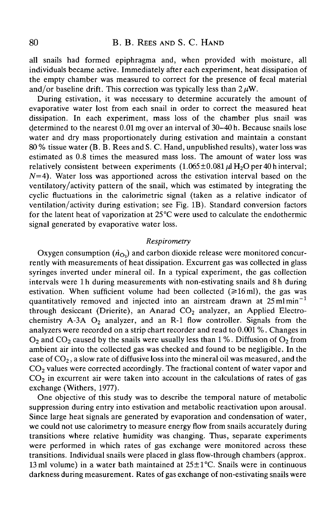all snails had formed epiphragma and, when provided with moisture, all individuals became active. Immediately after each experiment, heat dissipation of the empty chamber was measured to correct for the presence of fecal material and/or baseline drift. This correction was typically less than  $2 \mu W$ .

During estivation, it was necessary to determine accurately the amount of evaporative water lost from each snail in order to correct the measured heat dissipation. In each experiment, mass loss of the chamber plus snail was determined to the nearest 0.01 mg over an interval of 30-40 h. Because snails lose water and dry mass proportionately during estivation and maintain a constant 80 % tissue water (B. B. Rees and S. C. Hand, unpublished results), water loss was estimated as 0.8 times the measured mass loss. The amount of water loss was relatively consistent between experiments  $(1.065 \pm 0.081 \,\mu\text{H}_2\text{O}$  per 40 hinterval;  $N=4$ ). Water loss was apportioned across the estivation interval based on the ventilatory/activity pattern of the snail, which was estimated by integrating the cyclic fluctuations in the calorimetric signal (taken as a relative indicator of ventilation/activity during estivation; see Fig. IB). Standard conversion factors for the latent heat of vaporization at  $25^{\circ}$ C were used to calculate the endothermic signal generated by evaporative water loss.

#### *Respirometry*

Oxygen consumption  $(n_{\Omega})$  and carbon dioxide release were monitored concurrently with measurements of heat dissipation. Excurrent gas was collected in glass syringes inverted under mineral oil. In a typical experiment, the gas collection intervals were 1 h during measurements with non-estivating snails and 8 h during estivation. When sufficient volume had been collected  $(\geq 16 \text{ ml})$ , the gas was quantitatively removed and injected into an airstream drawn at  $25 \text{ ml min}^{-1}$ through desiccant (Drierite), an Anarad  $CO<sub>2</sub>$  analyzer, an Applied Electrochemistry A-3A  $O_2$  analyzer, and an R-1 flow controller. Signals from the analyzers were recorded on a strip chart recorder and read to 0.001 %. Changes in  $O<sub>2</sub>$  and CO<sub>2</sub> caused by the snails were usually less than 1%. Diffusion of O<sub>2</sub> from ambient air into the collected gas was checked and found to be negligible. In the case of  $CO<sub>2</sub>$ , a slow rate of diffusive loss into the mineral oil was measured, and the  $CO<sub>2</sub>$  values were corrected accordingly. The fractional content of water vapor and  $CO<sub>2</sub>$  in excurrent air were taken into account in the calculations of rates of gas exchange (Withers, 1977).

One objective of this study was to describe the temporal nature of metabolic suppression during entry into estivation and metabolic reactivation upon arousal. Since large heat signals are generated by evaporation and condensation of water, we could not use calorimetry to measure energy flow from snails accurately during transitions where relative humidity was changing. Thus, separate experiments were performed in which rates of gas exchange were monitored across these transitions. Individual snails were placed in glass flow-through chambers (approx. 13 ml volume) in a water bath maintained at  $25 \pm 1$ °C. Snails were in continuous darkness during measurement. Rates of gas exchange of non-estivating snails were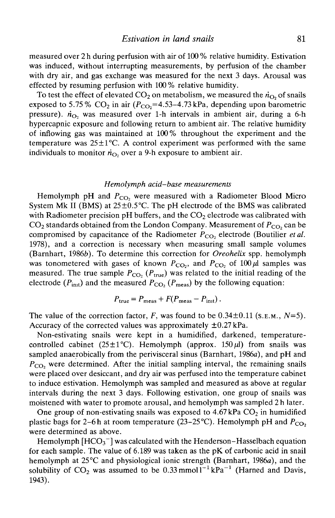measured over 2 h during perfusion with air of 100 % relative humidity. Estivation was induced, without interrupting measurements, by perfusion of the chamber with dry air, and gas exchange was measured for the next 3 days. Arousal was effected by resuming perfusion with 100 % relative humidity.

To test the effect of elevated  $CO<sub>2</sub>$  on metabolism, we measured the  $\dot{n}_{O<sub>2</sub>}$  of snails exposed to 5.75 %  $CO_2$  in air ( $P_{CO_2}$ =4.53–4.73 kPa, depending upon barometric pressure).  $\dot{n}_{\Omega}$  was measured over 1-h intervals in ambient air, during a 6-h hypercapnic exposure and following return to ambient air. The relative humidity of inflowing gas was maintained at 100% throughout the experiment and the temperature was  $25\pm1^{\circ}$ C. A control experiment was performed with the same individuals to monitor  $\dot{n}_{\Omega}$ , over a 9-h exposure to ambient air.

#### *Hemolymph acid-base measurements*

Hemolymph pH and  $P_{CO_2}$  were measured with a Radiometer Blood Micro System Mk II (BMS) at  $25\pm0.5^{\circ}$ C. The pH electrode of the BMS was calibrated with Radiometer precision pH buffers, and the  $CO<sub>2</sub>$  electrode was calibrated with  $CO<sub>2</sub>$  standards obtained from the London Company. Measurement of  $P<sub>CO</sub>$  can be compromised by capacitance of the Radiometer  $P_{CO_2}$  electrode (Boutilier et al. 1978), and a correction is necessary when measuring small sample volumes (Barnhart, 19866). To determine this correction for *Oreohelix* spp. hemolymph was tonometered with gases of known  $P_{CO_2}$ , and  $P_{CO_2}$  of 100  $\mu$ l samples was measured. The true sample  $P_{CO_2}$  ( $P_{true}$ ) was related to the initial reading of the electrode ( $P_{\text{int}}$ ) and the measured  $P_{\text{CO}_2}$  ( $P_{\text{meas}}$ ) by the following equation:

$$
P_{\text{true}} = P_{\text{meas}} + F(P_{\text{meas}} - P_{\text{int}}).
$$

The value of the correction factor,  $F$ , was found to be  $0.34 \pm 0.11$  (s.e.m.,  $N=5$ ). Accuracy of the corrected values was approximately  $\pm 0.27$  kPa.

Non-estivating snails were kept in a humidified, darkened, temperaturecontrolled cabinet (25 $\pm$ 1°C). Hemolymph (approx. 150 $\mu$ l) from snails was sampled anaerobically from the perivisceral sinus (Barnhart, 1986a), and pH and  $P_{\text{CO}}$ , were determined. After the initial sampling interval, the remaining snails were placed over desiccant, and dry air was perfused into the temperature cabinet to induce estivation. Hemolymph was sampled and measured as above at regular intervals during the next 3 days. Following estivation, one group of snails was moistened with water to promote arousal, and hemolymph was sampled 2h later.

One group of non-estivating snails was exposed to  $4.67$  kPa  $CO<sub>2</sub>$  in humidified plastic bags for 2–6 h at room temperature (23–25 °C). Hemolymph pH and  $P_{CO_2}$ were determined as above.

Hemolymph  $[HCO<sub>3</sub><sup>-</sup>]$  was calculated with the Henderson–Hasselbach equation for each sample. The value of 6.189 was taken as the pK of carbonic acid in snail hemolymph at 25°C and physiological ionic strength (Barnhart, 1986a), and the solubility of  $CO_2$  was assumed to be 0.33 mmol<sup>1-1</sup> kPa<sup>-1</sup> (Harned and Davis, 1943).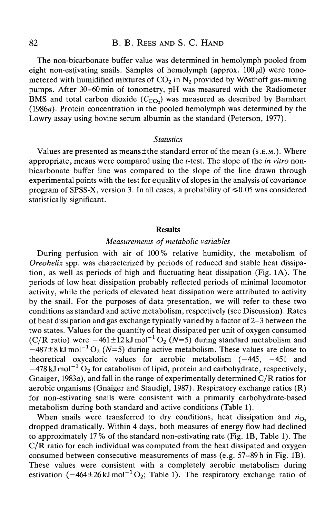# 82 **B. B. REES AND S. C. HAND**

The non-bicarbonate buffer value was determined in hemolymph pooled from eight non-estivating snails. Samples of hemolymph (approx.  $100 \mu l$ ) were tonometered with humidified mixtures of  $CO<sub>2</sub>$  in N<sub>2</sub> provided by Wösthoff gas-mixing pumps. After 30-60 min of tonometry, pH was measured with the Radiometer BMS and total carbon dioxide  $(C_{CO_2})$  was measured as described by Barnhart (1986a). Protein concentration in the pooled hemolymph was determined by the Lowry assay using bovine serum albumin as the standard (Peterson, 1977).

### *Statistics*

Values are presented as means $\pm$ the standard error of the mean ( $s.E.M.$ ). Where appropriate, means were compared using the f-test. The slope of the *in vitro* nonbicarbonate buffer line was compared to the slope of the line drawn through experimental points with the test for equahty of slopes in the analysis of covariance program of SPSS-X, version 3. In all cases, a probability of  $\leq 0.05$  was considered statistically significant.

#### Results

# *Measurements of metabolic variables*

During perfusion with air of 100% relative humidity, the metabolism of *Oreohelix* spp. was characterized by periods of reduced and stable heat dissipation, as well as periods of high and fluctuating heat dissipation (Fig. 1A). The periods of low heat dissipation probably reflected periods of minimal locomotor activity, while the periods of elevated heat dissipation were attributed to activity by the snail. For the purposes of data presentation, we will refer to these two conditions as standard and active metabolism, respectively (see Discussion). Rates of heat dissipation and gas exchange typically varied by a factor of 2-3 between the two states. Values for the quantity of heat dissipated per unit of oxygen consumed (C/R ratio) were  $-461\pm 12$  kJ mol<sup>-1</sup> O<sub>2</sub> (N=5) during standard metabolism and  $-487\pm8$  kJ mol<sup>-1</sup> O<sub>2</sub> (N=5) during active metabolism. These values are close to theoretical oxycaloric values for aerobic metabolism  $(-445, -451, -100)$  $-478$  kJ mol<sup>-1</sup> O<sub>2</sub> for catabolism of lipid, protein and carbohydrate, respectively; Gnaiger, 1983a), and fall in the range of experimentally determined  $C/R$  ratios for aerobic organisms (Gnaiger and Staudigl, 1987). Respiratory exchange ratios (R) for non-estivating snails were consistent with a primarily carbohydrate-based metabolism during both standard and active conditions (Table 1).

When snails were transferred to dry conditions, heat dissipation and  $\dot{n}_{\text{O}^2}$ dropped dramatically. Within 4 days, both measures of energy flow had declined to approximately 17 % of the standard non-estivating rate (Fig. IB, Table 1). The  $C/R$  ratio for each individual was computed from the heat dissipated and oxygen consumed between consecutive measurements of mass (e.g. 57-89 h in Fig. IB). These values were consistent with a completely aerobic metabolism during estivation  $(-464 \pm 26 \text{ kJ} \text{ mol}^{-1} \text{O}_2)$ ; Table 1). The respiratory exchange ratio of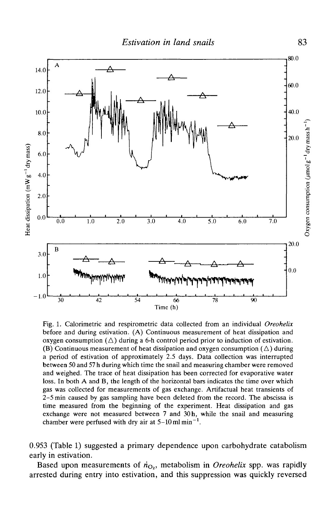

Fig. 1. Calorimetric and respirometric data collected from an individual *Oreohelix* before and during estivation. (A) Continuous measurement of heat dissipation and oxygen consumption  $(\triangle)$  during a 6-h control period prior to induction of estivation. (B) Continuous measurement of heat dissipation and oxygen consumption  $(\triangle)$  during a period of estivation of approximately 2.5 days. Data collection was interrupted between 50 and 57 h during which time the snail and measuring chamber were removed and weighed. The trace of heat dissipation has been corrected for evaporative water loss. In both A and B, the length of the horizontal bars indicates the time over which gas was collected for measurements of gas exchange. Artifactual heat transients of 2-5 min caused by gas sampling have been deleted from the record. The abscissa is time measured from the beginning of the experiment. Heat dissipation and gas exchange were not measured between 7 and 30 h, while the snail and measuring chamber were perfused with dry air at  $5-10$  ml min<sup>-1</sup>.

0.953 (Table 1) suggested a primary dependence upon carbohydrate catabolism early in estivation.

Based upon measurements of  $\dot{n}_{O_2}$ , metabolism in *Oreohelix* spp. was rapidly arrested during entry into estivation, and this suppression was quickly reversed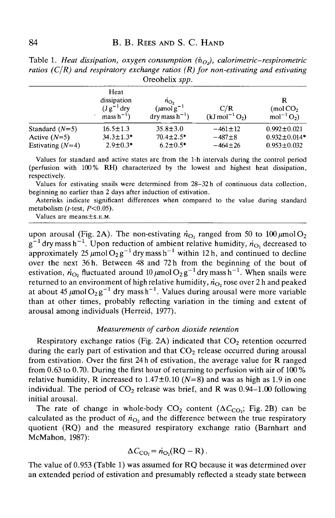|                    | Heat<br>dissipation<br>$(Jg^{-1}$ dry<br>${\rm mass\,h^{-1}}$ | $n_{\text{O}_2}$<br>$\left(\mu\text{mol}\,\text{g}^{-1}\right)$<br>$\text{dry mass}\,h^{-1}$ ) | C/R<br>$(kJ \, mol^{-1} O_2)$ | R<br>$\pmod{CO_2}$<br>$mol^{-1}O_2$ |  |  |  |
|--------------------|---------------------------------------------------------------|------------------------------------------------------------------------------------------------|-------------------------------|-------------------------------------|--|--|--|
| Standard $(N=5)$   | $16.5 \pm 1.3$                                                | $35.8 \pm 3.0$                                                                                 | $-461 \pm 12$                 | $0.992 \pm 0.021$                   |  |  |  |
| Active $(N=5)$     | $34.3 \pm 1.3*$                                               | $70.4 \pm 2.5$ *                                                                               | $-487 + 8$                    | $0.932 \pm 0.014*$                  |  |  |  |
| Estivating $(N=4)$ | $2.9 \pm 0.3*$                                                | $6.2 \pm 0.5$ *                                                                                | $-464 \pm 26$                 | $0.953 \pm 0.032$                   |  |  |  |

Table 1. *Heat dissipation, oxygen consumption*  $(\dot{n}_{Q_2})$ , *calorimetric–respirometric ratios (C/R) and respiratory exchange ratios (R) for non-estivating and estivating* Oreohelix *spp.*

Values for standard and active states are from the 1-h intervals during the control period (perfusion with 100% RH) characterized by the lowest and highest heat dissipation, respectively.

Values for estivating snails were determined from 28-32h of continuous data collection, beginning no earlier than 2 days after induction of estivation.

Asterisks indicate significant differences when compared to the value during standard metabolism ( $t$ -test,  $P < 0.05$ ).

Values are means±s.E.M.

upon arousal (Fig. 2A). The non-estivating  $\dot{n}_{\text{O}_2}$  ranged from 50 to 100  $\mu$ mol O<sub>2</sub>  $g^{-1}$  dry mass h<sup>-1</sup>. Upon reduction of ambient relative humidity,  $\dot{n}_{\text{O}_2}$  decreased to approximately 25  $\mu$ mol $O_2g^{-1}$  dry mass h<sup>-1</sup> within 12 h, and continued to decline over the next 36 h. Between 48 and 72 h from the beginning of the bout of estivation,  $\dot{n}_{\text{O}_2}$  fluctuated around 10  $\mu$ mol $\text{O}_2$ g<sup>-1</sup> dry mass h<sup>-1</sup>. When snails were returned to an environment of high relative humidity,  $\dot{n}_{O_2}$  rose over 2 h and peaked at about 45  $\mu$ mol $O_2$ g<sup>-1</sup> dry mass h<sup>-1</sup>. Values during arousal were more variable than at other times, probably reflecting variation in the timing and extent of arousal among individuals (Herreid, 1977).

# *Measurements of carbon dioxide retention*

Respiratory exchange ratios (Fig. 2A) indicated that  $CO<sub>2</sub>$  retention occurred during the early part of estivation and that  $CO<sub>2</sub>$  release occurred during arousal from estivation. Over the first 24h of estivation, the average value for R ranged from 0.63 to 0.70. During the first hour of returning to perfusion with air of 100 % relative humidity, R increased to  $1.47 \pm 0.10$  ( $N=8$ ) and was as high as 1.9 in one individual. The period of  $CO_2$  release was brief, and R was 0.94–1.00 following initial arousal.

The rate of change in whole-body  $CO_2$  content ( $\Delta C_{CO_2}$ ; Fig. 2B) can be calculated as the product of  $\dot{n}_{\text{O}}$ , and the difference between the true respiratory quotient (RQ) and the measured respiratory exchange ratio (Barnhart and McMahon, 1987):

$$
\Delta C_{\rm CO_2} = \dot{n}_{\rm O_2}(RQ - R) \, .
$$

The value of 0.953 (Table 1) was assumed for RQ because it was determined over an extended period of estivation and presumably reflected a steady state between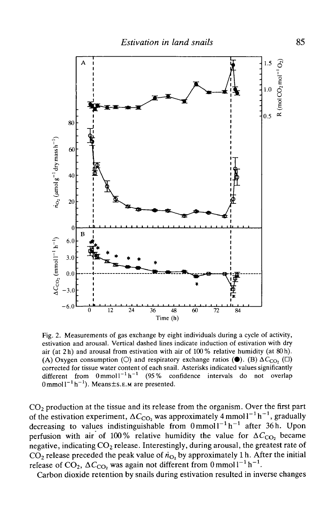

Fig. 2. Measurements of gas exchange by eight individuals during a cycle of activity, estivation and arousal. Vertical dashed lines indicate induction of estivation with dry air (at 2h) and arousal from estivation with air of  $100\%$  relative humidity (at 80h). (A) Oxygen consumption (O) and respiratory exchange ratios ( $\bullet$ ). (B)  $\Delta C_{\rm CO}$ , ( $\square$ ) corrected for tissue water content of each snail. Asterisks indicated values significantly different from  $0 \text{ mmol} 1^{-1} \text{ h}^{-1}$  (95% confidence intervals do not overlap  $0$  mmol  $1^{-1}$  h<sup>-1</sup>). Means ± s. E.M are presented.

 $CO<sub>2</sub>$  production at the tissue and its release from the organism. Over the first part of the estivation experiment,  $\Delta C_{\text{CO}_2}$  was approximately 4 mmoll<sup>-1</sup> h<sup>-1</sup>, gradually decreasing to values indistinguishable from  $0 \text{ mmol} 1^{-1} \text{ h}^{-1}$  after 36 h. Upon perfusion with air of 100% relative humidity the value for  $\Delta C_{\rm CO}$ , became negative, indicating  $CO_2$  release. Interestingly, during arousal, the greatest rate of  $CO<sub>2</sub>$  release preceded the peak value of  $\dot{n}_{\text{O}}$ , by approximately 1 h. After the initial release of CO<sub>2</sub>,  $\Delta C_{\text{CO}_2}$  was again not different from 0 mmol  $1^{-1}$  h<sup>-1</sup>.

Carbon dioxide retention by snails during estivation resulted in inverse changes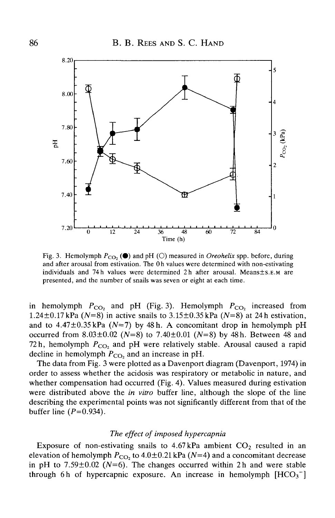

Fig. 3. Hemolymph  $P_{CO_2}$  ( $\bullet$ ) and pH (O) measured in *Oreohelix* spp. before, during and after arousal from estivation. The 0h values were determined with non-estivating individuals and 74h values were determined 2h after arousal. Means±S.E.M are presented, and the number of snails was seven or eight at each time.

in hemolymph  $P_{CO_2}$  and pH (Fig. 3). Hemolymph  $P_{CO_2}$  increased from 1.24 $\pm$ 0.17 kPa (N=8) in active snails to 3.15 $\pm$ 0.35 kPa (N=8) at 24 h estivation, and to  $4.47 \pm 0.35$  kPa ( $N=7$ ) by 48 h. A concomitant drop in hemolymph pH occurred from 8.03±0.02 *(N=8)* to 7.40±0.01 *(N=8)* by 48h. Between 48 and 72h, hemolymph  $P_{CO_2}$  and pH were relatively stable. Arousal caused a rapid decline in hemolymph  $P_{CO}$ , and an increase in pH.

The data from Fig. 3 were plotted as a Davenport diagram (Davenport, 1974) in order to assess whether the acidosis was respiratory or metabolic in nature, and whether compensation had occurred (Fig. 4). Values measured during estivation were distributed above the *in vitro* buffer line, although the slope of the line describing the experimental points was not significantly different from that of the buffer line  $(P=0.934)$ .

#### *The effect of imposed hypercapnia*

Exposure of non-estivating snails to  $4.67$  kPa ambient  $CO<sub>2</sub>$  resulted in an elevation of hemolymph  $P_{CO_2}$  to 4.0±0.21 kPa (N=4) and a concomitant decrease in pH to  $7.59\pm0.02$  (N=6). The changes occurred within 2h and were stable through 6h of hypercapnic exposure. An increase in hemolymph  $[HCO<sub>3</sub><sup>-</sup>]$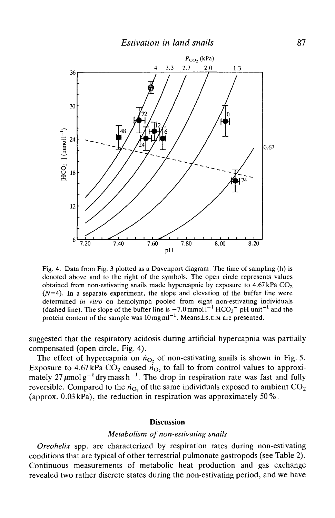

Fig. 4. Data from Fig. 3 plotted as a Davenport diagram. The time of sampling (h) is denoted above and to the right of the symbols. The open circle represents values obtained from non-estivating snails made hypercapnic by exposure to  $4.67 \text{ kPa CO}_2$  $(N=4)$ . In a separate experiment, the slope and elevation of the buffer line were determined *in vitro* on hemolymph pooled from eight non-estivating individuals (dashed line). The slope of the buffer line is  $-7.0$  mmol<sup>1-1</sup> HCO<sub>3</sub><sup>-</sup> pH unit<sup>-1</sup> and the protein content of the sample was  $10 \text{ mg} \text{ ml}^{-1}$ . Means $\pm$ s.E.M are presented.

suggested that the respiratory acidosis during artificial hypercapnia was partially compensated (open circle, Fig. 4).

The effect of hypercapnia on  $\dot{n}_{O_2}$  of non-estivating snails is shown in Fig. 5. Exposure to 4.67 kPa  $CO_2$  caused  $n_{O_2}$  to fall to from control values to approximately 27  $\mu$ molg<sup>-1</sup> drymass h<sup>-1</sup>. The drop in respiration rate was fast and fully reversible. Compared to the  $\dot{n}_{\text{O}_2}$  of the same individuals exposed to ambient CO<sub>2</sub> (approx.  $0.03$  kPa), the reduction in respiration was approximately 50%.

## **Discussion**

#### *Metabolism of non-estivating snails*

*Oreohelix* spp. are characterized by respiration rates during non-estivating conditions that are typical of other terrestrial pulmonate gastropods (see Table 2). Continuous measurements of metabolic heat production and gas exchange revealed two rather discrete states during the non-estivating period, and we have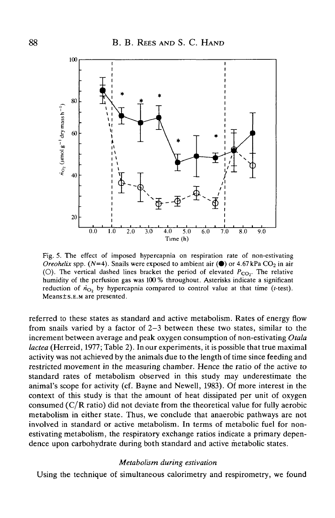

Fig. 5. The effect of imposed hypercapnia on respiration rate of non-estivating *Oreohelix* spp. ( $N=4$ ). Snails were exposed to ambient air ( $\bullet$ ) or 4.67 kPa CO<sub>2</sub> in air (O). The vertical dashed lines bracket the period of elevated  $P_{CO_2}$ . The relative humidity of the perfusion gas was 100 % throughout. Asterisks indicate a significant reduction of  $\dot{n}_{O_2}$  by hypercapnia compared to control value at that time (t-test). Means±s.E.M are presented.

referred to these states as standard and active metabolism. Rates of energy flow from snails varied by a factor of 2-3 between these two states, similar to the increment between average and peak oxygen consumption of non-estivating *Otala lactea* (Herreid, 1977; Table 2). In our experiments, it is possible that true maximal activity was not achieved by the animals due to the length of time since feeding and restricted movement in the measuring chamber. Hence the ratio of the active to standard rates of metabolism observed in this study may underestimate the animal's scope for activity (cf. Bayne and Newell, 1983). Of more interest in the context of this study is that the amount of heat dissipated per unit of oxygen consumed (C/R ratio) did not deviate from the theoretical value for fully aerobic metabolism in either state. Thus, we conclude that anaerobic pathways are not involved in standard or active metabolism. In terms of metabolic fuel for nonestivating metabolism, the respiratory exchange ratios indicate a primary dependence upon carbohydrate during both standard and active metabolic states.

#### *Metabolism during estivation*

Using the technique of simultaneous calorimetry and respirometry, we found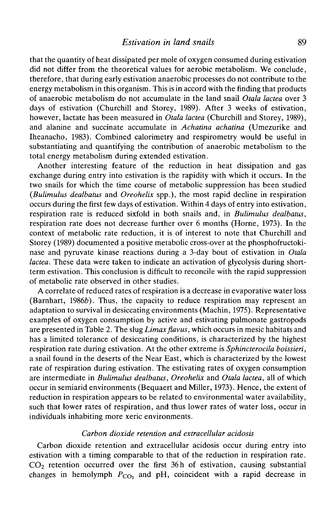that the quantity of heat dissipated per mole of oxygen consumed during estivation did not differ from the theoretical values for aerobic metabolism. We conclude, therefore, that during early estivation anaerobic processes do not contribute to the energy metabolism in this organism. This is in accord with the finding that products of anaerobic metabolism do not accumulate in the land snail *Otala lactea* over 3 days of estivation (Churchill and Storey, 1989). After 3 weeks of estivation, however, lactate has been measured in *Otala lactea* (Churchill and Storey, 1989), and alanine and succinate accumulate in *Achatina achatina* (Umezurike and Iheanacho, 1983). Combined calorimetry and respirometry would be useful in substantiating and quantifying the contribution of anaerobic metabolism to the total energy metabolism during extended estivation.

Another interesting feature of the reduction in heat dissipation and gas exchange during entry into estivation is the rapidity with which it occurs. In the two snails for which the time course of metabolic suppression has been studied *{Bulimulus dealbatus* and *Oreohelix* spp.), the most rapid decline in respiration occurs during the first few days of estivation. Within 4 days of entry into estivation, respiration rate is reduced sixfold in both snails and, in *Bulimulus dealbatus,* respiration rate does not decrease further over 6 months (Home, 1973). In the context of metabolic rate reduction, it is of interest to note that Churchill and Storey (1989) documented a positive metabolic cross-over at the phosphofructokinase and pyruvate kinase reactions during a 3-day bout of estivation in *Otala lactea.* These data were taken to indicate an activation of glycolysis during shortterm estivation. This conclusion is difficult to reconcile with the rapid suppression of metabolic rate observed in other studies.

A correlate of reduced rates of respiration is a decrease in evaporative water loss (Barnhart, 1986b). Thus, the capacity to reduce respiration may represent an adaptation to survival in desiccating environments (Machin, 1975). Representative examples of oxygen consumption by active and estivating pulmonate gastropods are presented in Table 2. The slug *Limax flavus*, which occurs in mesic habitats and has a limited tolerance of desiccating conditions, is characterized by the highest respiration rate during estivation. At the other extreme is *Sphincterocila boissieri,* a snail found in the deserts of the Near East, which is characterized by the lowest rate of respiration during estivation. The estivating rates of oxygen consumption are intermediate in *Bulimulus dealbatus, Oreohelix* and *Otala lactea,* all of which occur in semiarid environments (Bequaert and Miller, 1973). Hence, the extent of reduction in respiration appears to be related to environmental water availability, such that lower rates of respiration, and thus lower rates of water loss, occur in individuals inhabiting more xeric environments.

# *Carbon dioxide retention and extracellular acidosis*

Carbon dioxide retention and extracellular acidosis occur during entry into estivation with a timing comparable to that of the reduction in respiration rate.  $CO<sub>2</sub>$  retention occurred over the first 36 h of estivation, causing substantial changes in hemolymph  $P_{CO_2}$  and pH, coincident with a rapid decrease in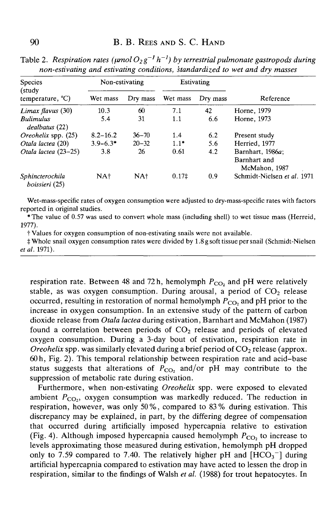| Species<br>(study<br>temperature, $^{\circ}C$ ) | Non-estivating  |                 | Estivating        |          |                                                   |
|-------------------------------------------------|-----------------|-----------------|-------------------|----------|---------------------------------------------------|
|                                                 | Wet mass        | Dry mass        | Wet mass          | Dry mass | Reference                                         |
| Limax flavus $(30)$                             | 10.3            | 60              | 7.1               | 42       | Horne, 1979                                       |
| <b>Bulimulus</b><br>dealbatus (22)              | 5.4             | 31              | 1.1               | 6.6      | Horne, 1973                                       |
| <i>Oreohelix</i> spp. (25)                      | $8.2 - 16.2$    | $36 - 70$       | 1.4               | 6.2      | Present study                                     |
| Otala lactea (20)                               | $3.9 - 6.3*$    | $20 - 32$       | $1.1*$            | 5.6      | Herried, 1977                                     |
| Otala lactea (23-25)                            | 3.8             | 26              | 0.61              | 4.2      | Barnhart, 1986a;<br>Barnhart and<br>McMahon, 1987 |
| Sphincterochila<br>boissieri (25)               | NA <sup>+</sup> | NA <sup>+</sup> | 0.17 <sup>‡</sup> | 0.9      | Schmidt-Nielsen et al. 1971                       |

Table 2. Respiration rates ( $\mu$ mol $O_2$ g<sup>-1</sup> h<sup>-1</sup>) by terrestrial pulmonate gastropods during *non-estivating and estivating conditions, standardized to wet and dry masses*

Wet-mass-specific rates of oxygen consumption were adjusted to dry-mass-specific rates with factors reported in original studies.

\*The value of 0.57 was used to convert whole mass (including shell) to wet tissue mass (Herreid, 1977).

t Values for oxygen consumption of non-estivating snails were not available.

\$ Whole snail oxygen consumption rates were divided by 1.8 g soft tissue per snail (Schmidt-Nielsen *etal.* 1971).

respiration rate. Between 48 and 72 h, hemolymph  $P_{CO_2}$  and pH were relatively stable, as was oxygen consumption. During arousal, a period of  $CO<sub>2</sub>$  release occurred, resulting in restoration of normal hemolymph  $\overline{P_{\text{CO}_2}}$  and pH prior to the increase in oxygen consumption. In an extensive study of the pattern of carbon dioxide release from *Otala lactea* during estivation, Barnhart and McMahon (1987) found a correlation between periods of  $CO<sub>2</sub>$  release and periods of elevated oxygen consumption. During a 3-day bout of estivation, respiration rate in *Oreohelix* spp. was similarly elevated during a brief period of  $CO<sub>2</sub>$  release (approx. 60h, Fig. 2). This temporal relationship between respiration rate and acid-base status suggests that alterations of  $P_{CO_2}$  and/or pH may contribute to the suppression of metabolic rate during estivation.

Furthermore, when non-estivating *Oreohelix* spp. were exposed to elevated ambient  $P_{CO_2}$ , oxygen consumption was markedly reduced. The reduction in respiration, however, was only 50%, compared to 83% during estivation. This discrepancy may be explained, in part, by the differing degree of compensation that occurred during artificially imposed hypercapnia relative to estivation (Fig. 4). Although imposed hypercapnia caused hemolymph  $P_{CO}$ , to increase to levels approximating those measured during estivation, hemolymph pH dropped only to 7.59 compared to 7.40. The relatively higher pH and  $[HCO<sub>3</sub><sup>-</sup>]$  during artificial hypercapnia compared to estivation may have acted to lessen the drop in respiration, similar to the findings of Walsh *et al.* (1988) for trout hepatocytes. In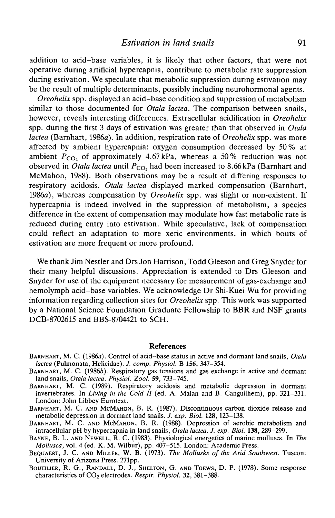addition to acid-base variables, it is likely that other factors, that were not operative during artificial hypercapnia, contribute to metabolic rate suppression during estivation. We speculate that metabolic suppression during estivation may be the result of multiple determinants, possibly including neurohormonal agents.

*Oreohelix* spp. displayed an acid-base condition and suppression of metabolism similar to those documented for *Otala lactea.* The comparison between snails, however, reveals interesting differences. Extracellular acidification in *Oreohelix* spp. during the first 3 days of estivation was greater than that observed in *Otala lactea* (Barnhart, 1986a). In addition, respiration rate of *Oreohelix* spp. was more affected by ambient hypercapnia: oxygen consumption decreased by 50% at ambient  $P_{\text{CO}_2}$  of approximately 4.67 kPa, whereas a 50% reduction was not observed in *Otala lactea* until  $P_{CO_2}$  had been increased to 8.66 kPa (Barnhart and McMahon, 1988). Both observations may be a result of differing responses to respiratory acidosis. *Otala lactea* displayed marked compensation (Barnhart, 1986a), whereas compensation by *Oreohelix* spp. was slight or non-existent. If hypercapnia is indeed involved in the suppression of metabolism, a species difference in the extent of compensation may modulate how fast metabolic rate is reduced during entry into estivation. While speculative, lack of compensation could reflect an adaptation to more xeric environments, in which bouts of estivation are more frequent or more profound.

We thank Jim Nestler and Drs Jon Harrison, Todd Gleeson and Greg Snyder for their many helpful discussions. Appreciation is extended to Drs Gleeson and Snyder for use of the equipment necessary for measurement of gas-exchange and hemolymph acid-base variables. We acknowledge Dr Shi-Kuei Wu for providing information regarding collection sites for *Oreohelix* spp. This work was supported by a National Science Foundation Graduate Fellowship to BBR and NSF grants DCB-8702615 and BBS-8704421 to SCH.

#### References

- BARNHART, M. C. (1986a). Control of acid-base status in active and dormant land snails, *Otala*
- **BARNHART, M. C. (1986b). Respiratory gas tensions and gas exchange in active and dormant land snails,** *Otala lactea. Physiol. Zool.* **59, 733-745.**
- BARNHART, M. C. (1989). Respiratory acidosis and metabolic depression in dormant invertebrates. In *Living in the Cold II* (ed. A. Malan and B. Canguilhem), pp. 321–331.<br>London: John Libbey Eurotext.
- BARNHART, M. C. AND MCMAHON, B. R. (1987). Discontinuous carbon dioxide release and metabolic depression in dormant land snails. J. exp. Biol. 128, 123–138.
- BARNHART, M. C. AND MCMAHON, B. R. (1988). Depression of aerobic metabolism and intracellular pH by hypercapnia in land snails, *Otala lactea. J. exp. Biol.* **138,** 289-299. BAYNE, B. L. AND NEWELL, R. C. (1983). Physiological energetics of marine molluscs. In *The*
- 
- *Mollusca*, vol. 4 (ed. K. M. Wilbur), pp. 407–515. London: Academic Press.<br>BEQUAERT, J. C. AND MILLER, W. B. (1973). *The Mollusks of the Arid Southwest*. Tuscon: University of Arizona Press. 271pp.
- BOUTILIER, R. G., RANDALL, D. J., SHELTON, G. AND TOEWS, D. P. (1978). Some response characteristics of CO<sub>2</sub> electrodes. Respir. Physiol. 32, 381-388.